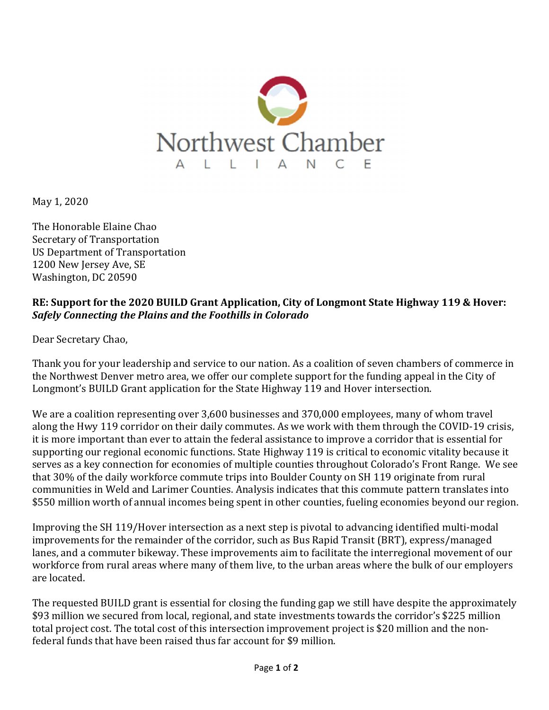

May 1, 2020

The Honorable Elaine Chao Secretary of Transportation US Department of Transportation 1200 New Jersey Ave, SE Washington, DC 20590

## RE: Support for the 2020 BUILD Grant Application, City of Longmont State Highway 119 & Hover: Safely Connecting the Plains and the Foothills in Colorado

Dear Secretary Chao,

Thank you for your leadership and service to our nation. As a coalition of seven chambers of commerce in the Northwest Denver metro area, we offer our complete support for the funding appeal in the City of Longmont's BUILD Grant application for the State Highway 119 and Hover intersection.

We are a coalition representing over 3,600 businesses and 370,000 employees, many of whom travel along the Hwy 119 corridor on their daily commutes. As we work with them through the COVID-19 crisis, it is more important than ever to attain the federal assistance to improve a corridor that is essential for supporting our regional economic functions. State Highway 119 is critical to economic vitality because it serves as a key connection for economies of multiple counties throughout Colorado's Front Range. We see that 30% of the daily workforce commute trips into Boulder County on SH 119 originate from rural communities in Weld and Larimer Counties. Analysis indicates that this commute pattern translates into \$550 million worth of annual incomes being spent in other counties, fueling economies beyond our region.

Improving the SH 119/Hover intersection as a next step is pivotal to advancing identified multi-modal improvements for the remainder of the corridor, such as Bus Rapid Transit (BRT), express/managed lanes, and a commuter bikeway. These improvements aim to facilitate the interregional movement of our workforce from rural areas where many of them live, to the urban areas where the bulk of our employers are located.

The requested BUILD grant is essential for closing the funding gap we still have despite the approximately \$93 million we secured from local, regional, and state investments towards the corridor's \$225 million total project cost. The total cost of this intersection improvement project is \$20 million and the nonfederal funds that have been raised thus far account for \$9 million.